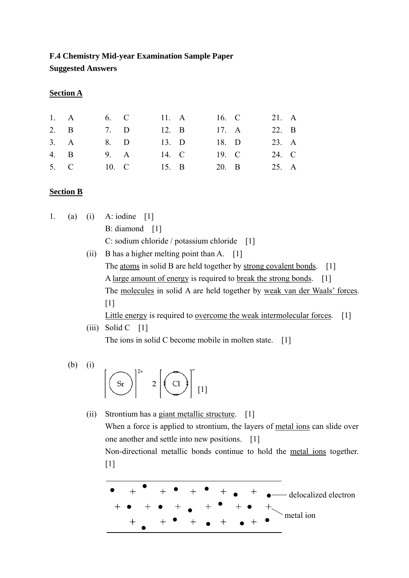## **F.4 Chemistry Mid-year Examination Sample Paper Suggested Answers**

## **Section A**

| 1. A         | 6. C  | 11. A   | 16. C | 21. A |  |
|--------------|-------|---------|-------|-------|--|
| $2. \quad B$ | 7. D  | 12. B   | 17. A | 22. B |  |
| 3. A         | 8. D  | $13.$ D | 18. D | 23. A |  |
| $4. \quad B$ | 9. A  | 14. C   | 19. C | 24. C |  |
| 5. C         | 10. C | 15. B   | 20. B | 25. A |  |

## **Section B**

| 1. | (a) | (i)   | A: iodine<br>$\Box$                                                                                                                                                                                                                                                                           |  |  |  |  |
|----|-----|-------|-----------------------------------------------------------------------------------------------------------------------------------------------------------------------------------------------------------------------------------------------------------------------------------------------|--|--|--|--|
|    |     |       | B: diamond [1]                                                                                                                                                                                                                                                                                |  |  |  |  |
|    |     |       | C: sodium chloride / potassium chloride [1]                                                                                                                                                                                                                                                   |  |  |  |  |
|    |     | (ii)  | B has a higher melting point than A. [1]                                                                                                                                                                                                                                                      |  |  |  |  |
|    |     |       | The atoms in solid B are held together by strong covalent bonds.<br>$\lceil 1 \rceil$                                                                                                                                                                                                         |  |  |  |  |
|    |     |       | A large amount of energy is required to break the strong bonds.<br>$\lceil 1 \rceil$                                                                                                                                                                                                          |  |  |  |  |
|    |     |       | The molecules in solid A are held together by weak van der Waals' forces.                                                                                                                                                                                                                     |  |  |  |  |
|    |     |       | $[1]$                                                                                                                                                                                                                                                                                         |  |  |  |  |
|    |     |       | Little energy is required to <u>overcome the weak intermolecular forces</u> .<br>$\lceil 1 \rceil$                                                                                                                                                                                            |  |  |  |  |
|    |     | (iii) | Solid C $[1]$                                                                                                                                                                                                                                                                                 |  |  |  |  |
|    |     |       | The ions in solid C become mobile in molten state. $[1]$                                                                                                                                                                                                                                      |  |  |  |  |
|    | (b) |       | $\left[\binom{\}s}{r}\right]^{2+} 2 \left[\binom{\}{c1}\right]_{[1]}$                                                                                                                                                                                                                         |  |  |  |  |
|    |     | (ii)  | Strontium has a giant metallic structure.<br>$\lceil 1 \rceil$<br>When a force is applied to strontium, the layers of metal ions can slide over<br>one another and settle into new positions. [1]<br>Non-directional metallic bonds continue to hold the <u>metal ions</u> together.<br>$[1]$ |  |  |  |  |
|    |     |       |                                                                                                                                                                                                                                                                                               |  |  |  |  |

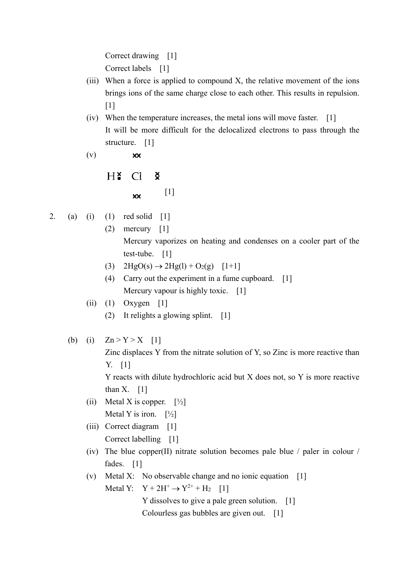Correct drawing [1] Correct labels [1]

- (iii) When a force is applied to compound X, the relative movement of the ions brings ions of the same charge close to each other. This results in repulsion.  $[1]$
- (iv) When the temperature increases, the metal ions will move faster. [1] It will be more difficult for the delocalized electrons to pass through the structure. [1]
- (v) XX

 $H^{\mathbf{x}}_{\bullet}$ C<sub>1</sub>  $\boldsymbol{\breve{\mathsf{x}}}$  $\sim$  [1]

- 2. (a) (i) (1) red solid [1]
	- (2) mercury [1] Mercury vaporizes on heating and condenses on a cooler part of the test-tube. [1]
	- (3)  $2HgO(s) \rightarrow 2Hg(1) + O_2(g)$  [1+1]
	- (4) Carry out the experiment in a fume cupboard. [1] Mercury vapour is highly toxic. [1]
	- (ii) (1) Oxygen [1]
		- (2) It relights a glowing splint. [1]
	- (b) (i)  $Zn > Y > X$  [1]

 Zinc displaces Y from the nitrate solution of Y, so Zinc is more reactive than Y. [1]

 Y reacts with dilute hydrochloric acid but X does not, so Y is more reactive than  $X.$  [1]

- (ii) Metal X is copper.  $[1/2]$ Metal Y is iron.  $[1/2]$
- (iii) Correct diagram [1] Correct labelling [1]
- (iv) The blue copper(II) nitrate solution becomes pale blue  $\ell$  paler in colour  $\ell$ fades. [1]

 (v) Metal X: No observable change and no ionic equation [1] Metal Y:  $Y + 2H^+ \rightarrow Y^{2+} + H_2$  [1] Y dissolves to give a pale green solution. [1] Colourless gas bubbles are given out. [1]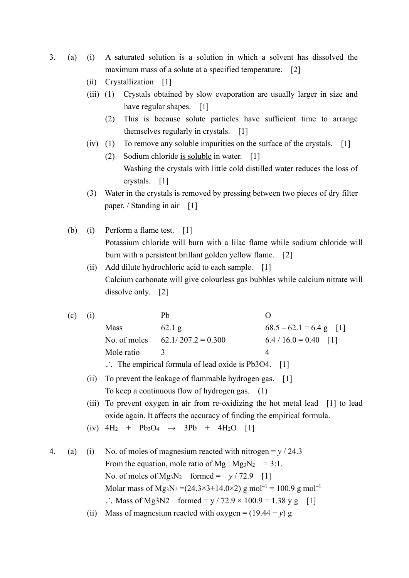- 3. (a) (i) A saturated solution is a solution in which a solvent has dissolved the maximum mass of a solute at a specified temperature. [2]
	- (ii) Crystallization [1]
	- (iii) (1) Crystals obtained by slow evaporation are usually larger in size and have regular shapes. [1]
		- (2) This is because solute particles have sufficient time to arrange themselves regularly in crystals. [1]
	- (iv) (1) To remove any soluble impurities on the surface of the crystals. [1]
		- (2) Sodium chloride is soluble in water. [1] Washing the crystals with little cold distilled water reduces the loss of crystals. [1]
	- (3) Water in the crystals is removed by pressing between two pieces of dry filter paper. / Standing in air [1]
	- (b) (i) Perform a flame test. [1] Potassium chloride will burn with a lilac flame while sodium chloride will burn with a persistent brillant golden yellow flame. [2]
		- (ii) Add dilute hydrochloric acid to each sample. [1] Calcium carbonate will give colourless gas bubbles while calcium nitrate will dissolve only. [2]

|    | (c) | (i)   |                                                                        | Pb                                                                                                             | O                                                                         |  |  |
|----|-----|-------|------------------------------------------------------------------------|----------------------------------------------------------------------------------------------------------------|---------------------------------------------------------------------------|--|--|
|    |     |       | Mass                                                                   | $62.1\text{ g}$                                                                                                | $68.5 - 62.1 = 6.4$ g [1]                                                 |  |  |
|    |     |       |                                                                        | No. of moles $62.1/207.2 = 0.300$                                                                              | $6.4 / 16.0 = 0.40$ [1]                                                   |  |  |
|    |     |       | Mole ratio                                                             | 3                                                                                                              | $\overline{4}$                                                            |  |  |
|    |     |       |                                                                        | $\therefore$ The empirical formula of lead oxide is Pb3O4.                                                     | $\lceil 1 \rceil$                                                         |  |  |
|    |     | (ii)  | To prevent the leakage of flammable hydrogen gas.<br>$\lceil 1 \rceil$ |                                                                                                                |                                                                           |  |  |
|    |     |       | To keep a continuous flow of hydrogen gas. $(1)$                       |                                                                                                                |                                                                           |  |  |
|    |     | (111) |                                                                        |                                                                                                                | To prevent oxygen in air from re-oxidizing the hot metal lead [1] to lead |  |  |
|    |     |       | oxide again. It affects the accuracy of finding the empirical formula. |                                                                                                                |                                                                           |  |  |
|    |     |       |                                                                        | (iv) $4H_2$ + $Pb_3O_4$ $\rightarrow$ $3Pb$ + $4H_2O$ [1]                                                      |                                                                           |  |  |
| 4. | (a) | (i)   |                                                                        | No. of moles of magnesium reacted with nitrogen = $y/24.3$                                                     |                                                                           |  |  |
|    |     |       | From the equation, mole ratio of Mg : $Mg_3N_2 = 3:1$ .                |                                                                                                                |                                                                           |  |  |
|    |     |       | No. of moles of Mg <sub>3</sub> N <sub>2</sub> formed = $y/72.9$ [1]   |                                                                                                                |                                                                           |  |  |
|    |     |       |                                                                        | Molar mass of Mg <sub>3</sub> N <sub>2</sub> = (24.3×3+14.0×2) g mol <sup>-1</sup> = 100.9 g mol <sup>-1</sup> |                                                                           |  |  |
|    |     |       |                                                                        | : Mass of Mg3N2 formed = $y / 72.9 \times 100.9 = 1.38$ y g [1]                                                |                                                                           |  |  |
|    |     | (i)   |                                                                        | Mass of magnesium reacted with oxygen = $(19.44 - y)$ g                                                        |                                                                           |  |  |